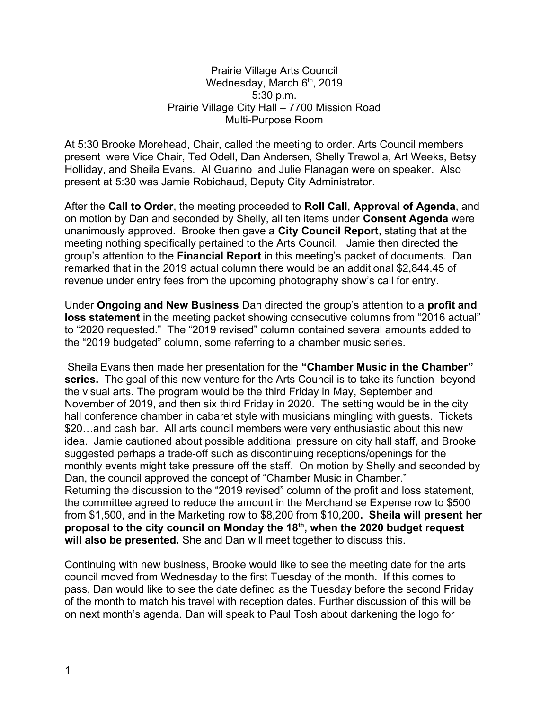## Prairie Village Arts Council Wednesday, March  $6<sup>th</sup>$ , 2019 5:30 p.m. Prairie Village City Hall – 7700 Mission Road Multi-Purpose Room

At 5:30 Brooke Morehead, Chair, called the meeting to order. Arts Council members present were Vice Chair, Ted Odell, Dan Andersen, Shelly Trewolla, Art Weeks, Betsy Holliday, and Sheila Evans. Al Guarino and Julie Flanagan were on speaker. Also present at 5:30 was Jamie Robichaud, Deputy City Administrator.

After the **Call to Order**, the meeting proceeded to **Roll Call**, **Approval of Agenda**, and on motion by Dan and seconded by Shelly, all ten items under **Consent Agenda** were unanimously approved. Brooke then gave a **City Council Report**, stating that at the meeting nothing specifically pertained to the Arts Council. Jamie then directed the group's attention to the **Financial Report** in this meeting's packet of documents. Dan remarked that in the 2019 actual column there would be an additional \$2,844.45 of revenue under entry fees from the upcoming photography show's call for entry.

Under **Ongoing and New Business** Dan directed the group's attention to a **profit and loss statement** in the meeting packet showing consecutive columns from "2016 actual" to "2020 requested." The "2019 revised" column contained several amounts added to the "2019 budgeted" column, some referring to a chamber music series.

 Sheila Evans then made her presentation for the **"Chamber Music in the Chamber" series.** The goal of this new venture for the Arts Council is to take its function beyond the visual arts. The program would be the third Friday in May, September and November of 2019, and then six third Friday in 2020. The setting would be in the city hall conference chamber in cabaret style with musicians mingling with guests. Tickets \$20...and cash bar. All arts council members were very enthusiastic about this new idea. Jamie cautioned about possible additional pressure on city hall staff, and Brooke suggested perhaps a trade-off such as discontinuing receptions/openings for the monthly events might take pressure off the staff. On motion by Shelly and seconded by Dan, the council approved the concept of "Chamber Music in Chamber." Returning the discussion to the "2019 revised" column of the profit and loss statement, the committee agreed to reduce the amount in the Merchandise Expense row to \$500 from \$1,500, and in the Marketing row to \$8,200 from \$10,200**. Sheila will present her proposal to the city council on Monday the 18th, when the 2020 budget request will also be presented.** She and Dan will meet together to discuss this.

Continuing with new business, Brooke would like to see the meeting date for the arts council moved from Wednesday to the first Tuesday of the month. If this comes to pass, Dan would like to see the date defined as the Tuesday before the second Friday of the month to match his travel with reception dates. Further discussion of this will be on next month's agenda. Dan will speak to Paul Tosh about darkening the logo for